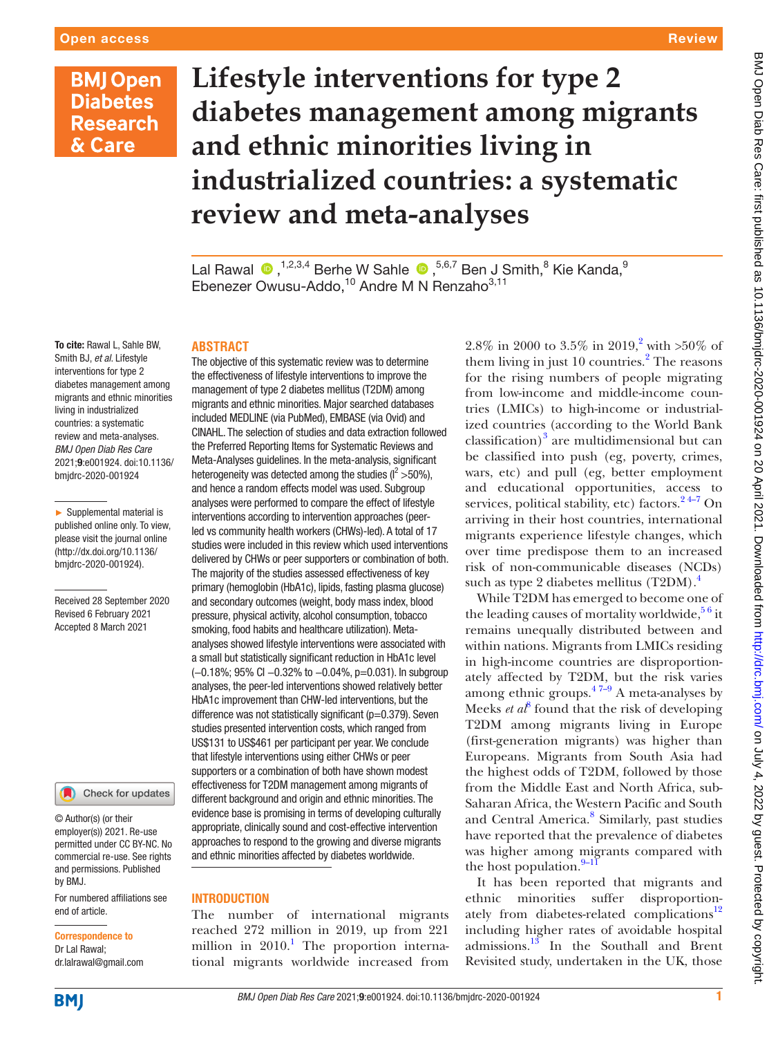# **Lifestyle interventions for type 2 diabetes management among migrants and ethnic minorities living in industrialized countries: a systematic review and meta-analyses**

LalRawal  $\bigcirc$  ,<sup>1,2,3,4</sup> Berhe W Sahle  $\bigcirc$  ,<sup>5,6,7</sup> Ben J Smith,<sup>8</sup> Kie Kanda,<sup>9</sup> Ebenezer Owusu-Addo,<sup>10</sup> Andre M N Renzaho<sup>3,11</sup>

To cite: Rawal L, Sahle BW, Smith BJ, *et al*. Lifestyle interventions for type 2 diabetes management among migrants and ethnic minorities living in industrialized countries: a systematic review and meta-analyses. *BMJ Open Diab Res Care* 2021;9:e001924. doi:10.1136/ bmjdrc-2020-001924

► Supplemental material is published online only. To view, please visit the journal online (http://dx.doi.org/10.1136/ bmjdrc-2020-001924).

Received 28 September 2020 Revised 6 February 2021 Accepted 8 March 2021



© Author(s) (or their employer(s)) 2021. Re-use permitted under CC BY-NC. No commercial re-use. See rights and permissions. Published by BMJ.

For numbered affiliations see end of article.

# Correspondence to

Dr Lal Rawal; dr.lalrawal@gmail.com

## **ABSTRACT**

The objective of this systematic review was to determine the effectiveness of lifestyle interventions to improve the management of type 2 diabetes mellitus (T2DM) among migrants and ethnic minorities. Major searched databases included MEDLINE (via PubMed), EMBASE (via Ovid) and CINAHL. The selection of studies and data extraction followed the Preferred Reporting Items for Systematic Reviews and Meta-Analyses guidelines. In the meta-analysis, significant heterogeneity was detected among the studies ( $l^2 > 50\%$ ), and hence a random effects model was used. Subgroup analyses were performed to compare the effect of lifestyle interventions according to intervention approaches (peerled vs community health workers (CHWs)-led). A total of 17 studies were included in this review which used interventions delivered by CHWs or peer supporters or combination of both. The majority of the studies assessed effectiveness of key primary (hemoglobin (HbA1c), lipids, fasting plasma glucose) and secondary outcomes (weight, body mass index, blood pressure, physical activity, alcohol consumption, tobacco smoking, food habits and healthcare utilization). Metaanalyses showed lifestyle interventions were associated with a small but statistically significant reduction in HbA1c level (−0.18%; 95% CI −0.32% to −0.04%, p=0.031). In subgroup analyses, the peer-led interventions showed relatively better HbA1c improvement than CHW-led interventions, but the difference was not statistically significant (p=0.379). Seven studies presented intervention costs, which ranged from US\$131 to US\$461 per participant per year. We conclude that lifestyle interventions using either CHWs or peer supporters or a combination of both have shown modest effectiveness for T2DM management among migrants of different background and origin and ethnic minorities. The evidence base is promising in terms of developing culturally appropriate, clinically sound and cost-effective intervention approaches to respond to the growing and diverse migrants and ethnic minorities affected by diabetes worldwide.

#### **INTRODUCTION**

The number of international migrants reached 272 million in 2019, up from 221 million in 2010.<sup>1</sup> The proportion international migrants worldwide increased from

2.8% in 2000 to 3.5% in 2019,<sup>2</sup> with >50% of them living in just 10 countries.<sup>2</sup> The reasons for the rising numbers of people migrating from low-income and middle-income countries (LMICs) to high-income or industrialized countries (according to the World Bank  $classification)^3$  $classification)^3$  are multidimensional but can be classified into push (eg, poverty, crimes, wars, etc) and pull (eg, better employment and educational opportunities, access to services, political stability, etc) factors. $2^{4-7}$  On arriving in their host countries, international migrants experience lifestyle changes, which over time predispose them to an increased risk of non-communicable diseases (NCDs) such as type 2 diabetes mellitus  $(T2DM)^4$  $(T2DM)^4$ .

While T2DM has emerged to become one of the leading causes of mortality worldwide,  $56$  it remains unequally distributed between and within nations. Migrants from LMICs residing in high-income countries are disproportionately affected by T2DM, but the risk varies among ethnic groups. $47-9$  A meta-analyses by Meeks *et al*<sup>[8](#page-8-5)</sup> found that the risk of developing T2DM among migrants living in Europe (first-generation migrants) was higher than Europeans. Migrants from South Asia had the highest odds of T2DM, followed by those from the Middle East and North Africa, sub-Saharan Africa, the Western Pacific and South and Central America.<sup>[8](#page-8-5)</sup> Similarly, past studies have reported that the prevalence of diabetes was higher among migrants compared with the host population. $9-11$ 

It has been reported that migrants and ethnic minorities suffer disproportionately from diabetes-related complications<sup>12</sup> including higher rates of avoidable hospital admissions.[13](#page-8-8) In the Southall and Brent Revisited study, undertaken in the UK, those

**Review**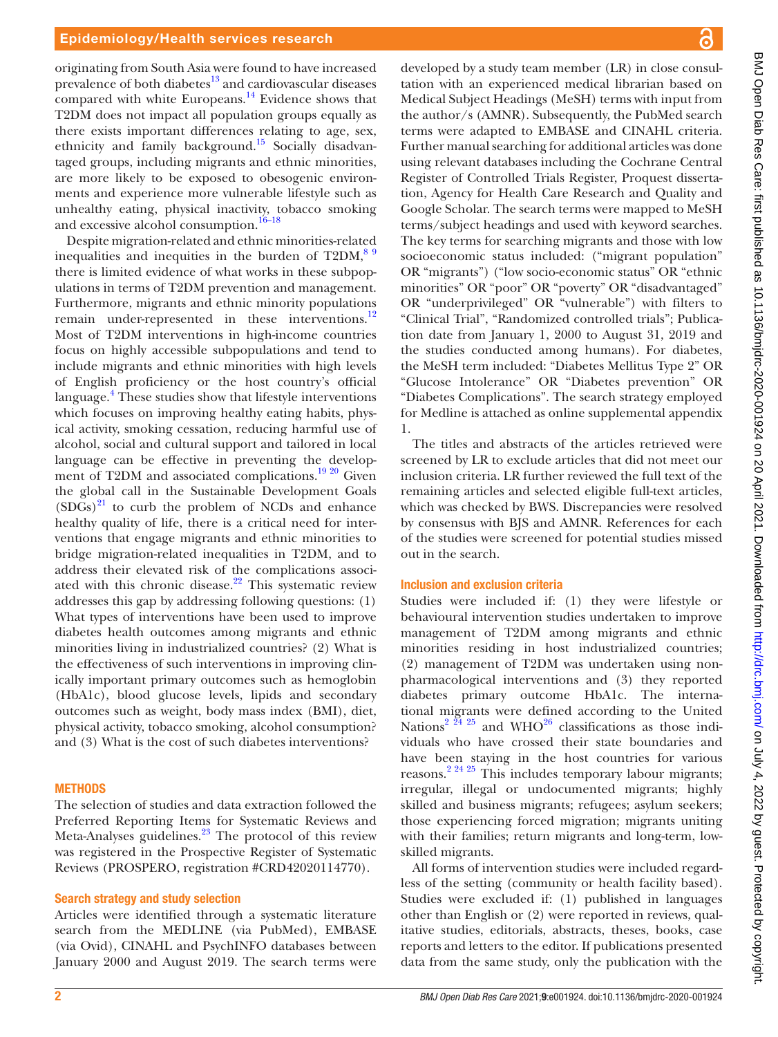originating from South Asia were found to have increased prevalence of both diabetes $^{13}$  $^{13}$  $^{13}$  and cardiovascular diseases compared with white Europeans. $\frac{14}{14}$  $\frac{14}{14}$  $\frac{14}{14}$  Evidence shows that T2DM does not impact all population groups equally as there exists important differences relating to age, sex, ethnicity and family background.<sup>15</sup> Socially disadvantaged groups, including migrants and ethnic minorities, are more likely to be exposed to obesogenic environments and experience more vulnerable lifestyle such as unhealthy eating, physical inactivity, tobacco smoking and excessive alcohol consumption.<sup>16-18</sup>

Despite migration-related and ethnic minorities-related inequalities and inequities in the burden of  $T2DM$ ,  $89$ there is limited evidence of what works in these subpopulations in terms of T2DM prevention and management. Furthermore, migrants and ethnic minority populations remain under-represented in these interventions. $^{12}$ Most of T2DM interventions in high-income countries focus on highly accessible subpopulations and tend to include migrants and ethnic minorities with high levels of English proficiency or the host country's official language.<sup>[4](#page-8-3)</sup> These studies show that lifestyle interventions which focuses on improving healthy eating habits, physical activity, smoking cessation, reducing harmful use of alcohol, social and cultural support and tailored in local language can be effective in preventing the develop-ment of T2DM and associated complications.<sup>[19 20](#page-9-0)</sup> Given the global call in the Sustainable Development Goals  $(SDGs)^{21}$  $(SDGs)^{21}$  $(SDGs)^{21}$  to curb the problem of NCDs and enhance healthy quality of life, there is a critical need for interventions that engage migrants and ethnic minorities to bridge migration-related inequalities in T2DM, and to address their elevated risk of the complications associated with this chronic disease. $22$  This systematic review addresses this gap by addressing following questions: (1) What types of interventions have been used to improve diabetes health outcomes among migrants and ethnic minorities living in industrialized countries? (2) What is the effectiveness of such interventions in improving clinically important primary outcomes such as hemoglobin (HbA1c), blood glucose levels, lipids and secondary outcomes such as weight, body mass index (BMI), diet, physical activity, tobacco smoking, alcohol consumption? and (3) What is the cost of such diabetes interventions?

## **METHODS**

The selection of studies and data extraction followed the Preferred Reporting Items for Systematic Reviews and Meta-Analyses guidelines.<sup>[23](#page-9-3)</sup> The protocol of this review was registered in the Prospective Register of Systematic Reviews (PROSPERO, registration #CRD42020114770).

#### Search strategy and study selection

Articles were identified through a systematic literature search from the MEDLINE (via PubMed), EMBASE (via Ovid), CINAHL and PsychINFO databases between January 2000 and August 2019. The search terms were

developed by a study team member (LR) in close consultation with an experienced medical librarian based on Medical Subject Headings (MeSH) terms with input from the author/s (AMNR). Subsequently, the PubMed search terms were adapted to EMBASE and CINAHL criteria. Further manual searching for additional articles was done using relevant databases including the Cochrane Central Register of Controlled Trials Register, Proquest dissertation, Agency for Health Care Research and Quality and Google Scholar. The search terms were mapped to MeSH terms/subject headings and used with keyword searches. The key terms for searching migrants and those with low socioeconomic status included: ("migrant population" OR "migrants") ("low socio-economic status" OR "ethnic minorities" OR "poor" OR "poverty" OR "disadvantaged" OR "underprivileged" OR "vulnerable") with filters to "Clinical Trial", "Randomized controlled trials"; Publication date from January 1, 2000 to August 31, 2019 and the studies conducted among humans). For diabetes, the MeSH term included: "Diabetes Mellitus Type 2" OR "Glucose Intolerance" OR "Diabetes prevention" OR "Diabetes Complications". The search strategy employed for Medline is attached as [online supplemental appendix](https://dx.doi.org/10.1136/bmjdrc-2020-001924) [1](https://dx.doi.org/10.1136/bmjdrc-2020-001924).

The titles and abstracts of the articles retrieved were screened by LR to exclude articles that did not meet our inclusion criteria. LR further reviewed the full text of the remaining articles and selected eligible full-text articles, which was checked by BWS. Discrepancies were resolved by consensus with BJS and AMNR. References for each of the studies were screened for potential studies missed out in the search.

#### Inclusion and exclusion criteria

Studies were included if: (1) they were lifestyle or behavioural intervention studies undertaken to improve management of T2DM among migrants and ethnic minorities residing in host industrialized countries; (2) management of T2DM was undertaken using nonpharmacological interventions and (3) they reported diabetes primary outcome HbA1c. The international migrants were defined according to the United Nations<sup>2 24 25</sup> and WHO<sup>26</sup> classifications as those individuals who have crossed their state boundaries and have been staying in the host countries for various reasons[.2 24 25](#page-8-1) This includes temporary labour migrants; irregular, illegal or undocumented migrants; highly skilled and business migrants; refugees; asylum seekers; those experiencing forced migration; migrants uniting with their families; return migrants and long-term, lowskilled migrants.

All forms of intervention studies were included regardless of the setting (community or health facility based). Studies were excluded if: (1) published in languages other than English or (2) were reported in reviews, qualitative studies, editorials, abstracts, theses, books, case reports and letters to the editor. If publications presented data from the same study, only the publication with the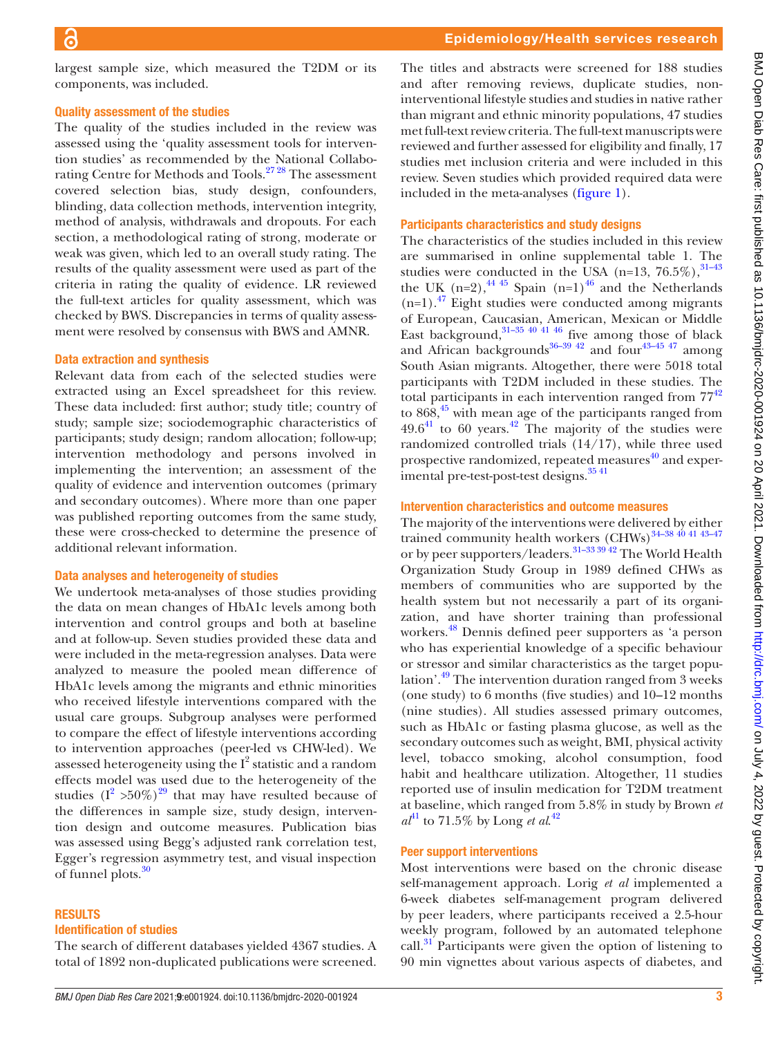largest sample size, which measured the T2DM or its components, was included.

#### Quality assessment of the studies

The quality of the studies included in the review was assessed using the 'quality assessment tools for intervention studies' as recommended by the National Collaborating Centre for Methods and Tools.<sup>27</sup><sup>28</sup> The assessment covered selection bias, study design, confounders, blinding, data collection methods, intervention integrity, method of analysis, withdrawals and dropouts. For each section, a methodological rating of strong, moderate or weak was given, which led to an overall study rating. The results of the quality assessment were used as part of the criteria in rating the quality of evidence. LR reviewed the full-text articles for quality assessment, which was checked by BWS. Discrepancies in terms of quality assessment were resolved by consensus with BWS and AMNR.

#### Data extraction and synthesis

Relevant data from each of the selected studies were extracted using an Excel spreadsheet for this review. These data included: first author; study title; country of study; sample size; sociodemographic characteristics of participants; study design; random allocation; follow-up; intervention methodology and persons involved in implementing the intervention; an assessment of the quality of evidence and intervention outcomes (primary and secondary outcomes). Where more than one paper was published reporting outcomes from the same study, these were cross-checked to determine the presence of additional relevant information.

#### Data analyses and heterogeneity of studies

We undertook meta-analyses of those studies providing the data on mean changes of HbA1c levels among both intervention and control groups and both at baseline and at follow-up. Seven studies provided these data and were included in the meta-regression analyses. Data were analyzed to measure the pooled mean difference of HbA1c levels among the migrants and ethnic minorities who received lifestyle interventions compared with the usual care groups. Subgroup analyses were performed to compare the effect of lifestyle interventions according to intervention approaches (peer-led vs CHW-led). We assessed heterogeneity using the  $I^2$  statistic and a random effects model was used due to the heterogeneity of the studies  $(I^2 > 50\%)^{29}$  that may have resulted because of the differences in sample size, study design, intervention design and outcome measures. Publication bias was assessed using Begg's adjusted rank correlation test, Egger's regression asymmetry test, and visual inspection of funnel plots.<sup>30</sup>

#### RESULTS

#### Identification of studies

The search of different databases yielded 4367 studies. A total of 1892 non‐duplicated publications were screened.

The titles and abstracts were screened for 188 studies and after removing reviews, duplicate studies, noninterventional lifestyle studies and studies in native rather than migrant and ethnic minority populations, 47 studies met full-text review criteria. The full-text manuscripts were reviewed and further assessed for eligibility and finally, 17 studies met inclusion criteria and were included in this review. Seven studies which provided required data were included in the meta-analyses [\(figure](#page-3-0) 1).

#### Participants characteristics and study designs

The characteristics of the studies included in this review are summarised in [online supplemental table 1.](https://dx.doi.org/10.1136/bmjdrc-2020-001924) The studies were conducted in the USA (n=13,  $76.5\%$ ),  $31-43$ the UK  $(n=2)$ ,  $^{44}$ ,  $^{45}$  Spain  $(n=1)$ <sup>46</sup> and the Netherlands  $(n=1)$ .<sup>47</sup> Eight studies were conducted among migrants of European, Caucasian, American, Mexican or Middle East background,  $31-35$  40 41 46 five among those of black and African backgrounds<sup>36-39 42</sup> and four<sup>43-45 47</sup> among South Asian migrants. Altogether, there were 5018 total participants with T2DM included in these studies. The total participants in each intervention ranged from  $77<sup>42</sup>$ to  $868<sup>45</sup>$  with mean age of the participants ranged from  $49.6^{41}$  to 60 years.<sup>42</sup> The majority of the studies were randomized controlled trials (14/17), while three used prospective randomized, repeated measures $40$  and experimental pre-test-post-test designs.<sup>35 41</sup>

#### Intervention characteristics and outcome measures

The majority of the interventions were delivered by either trained community health workers  $\left(\frac{CHWs}{34-38\frac{40\frac{41}{43-47}}{41}}\right)$ or by peer supporters/leaders.<sup>31–33 39</sup><sup>42</sup> The World Health Organization Study Group in 1989 defined CHWs as members of communities who are supported by the health system but not necessarily a part of its organization, and have shorter training than professional workers[.48](#page-9-20) Dennis defined peer supporters as 'a person who has experiential knowledge of a specific behaviour or stressor and similar characteristics as the target population'.[49](#page-9-21) The intervention duration ranged from 3 weeks (one study) to 6 months (five studies) and 10–12 months (nine studies). All studies assessed primary outcomes, such as HbA1c or fasting plasma glucose, as well as the secondary outcomes such as weight, BMI, physical activity level, tobacco smoking, alcohol consumption, food habit and healthcare utilization. Altogether, 11 studies reported use of insulin medication for T2DM treatment at baseline, which ranged from 5.8% in study by Brown *et*   $a^{41}$  $a^{41}$  $a^{41}$  to 71.5% by Long *et al.*<sup>[42](#page-9-14)</sup>

## Peer support interventions

Most interventions were based on the chronic disease self-management approach. Lorig *et al* implemented a 6-week diabetes self-management program delivered by peer leaders, where participants received a 2.5-hour weekly program, followed by an automated telephone call.<sup>31</sup> Participants were given the option of listening to 90 min vignettes about various aspects of diabetes, and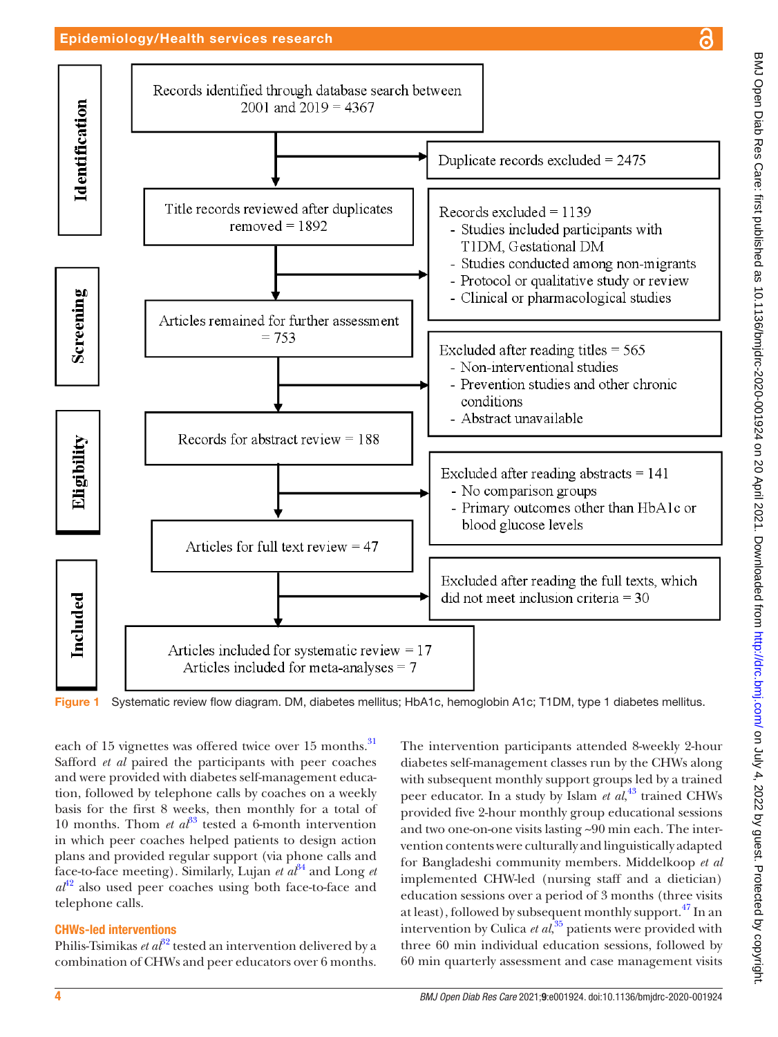# Epidemiology/Health services research



<span id="page-3-0"></span>Figure 1 Systematic review flow diagram. DM, diabetes mellitus; HbA1c, hemoglobin A1c; T1DM, type 1 diabetes mellitus.

each of 15 vignettes was offered twice over 15 months.<sup>[31](#page-9-8)</sup> Safford *et al* paired the participants with peer coaches and were provided with diabetes self-management education, followed by telephone calls by coaches on a weekly basis for the first 8 weeks, then monthly for a total of 10 months. Thom *et al*<sup>[33](#page-9-22)</sup> tested a 6-month intervention in which peer coaches helped patients to design action plans and provided regular support (via phone calls and face-to-face meeting). Similarly, Lujan *et*  $a^{34}$  and Long *et*  $a^{42}$  $a^{42}$  $a^{42}$  also used peer coaches using both face-to-face and telephone calls.

# CHWs-led interventions

Philis-Tsimikas *et al*<sup>[32](#page-9-23)</sup> tested an intervention delivered by a combination of CHWs and peer educators over 6 months.

The intervention participants attended 8-weekly 2-hour diabetes self-management classes run by the CHWs along with subsequent monthly support groups led by a trained peer educator. In a study by Islam *et al*, [43](#page-9-13) trained CHWs provided five 2-hour monthly group educational sessions and two one-on-one visits lasting ~90 min each. The intervention contents were culturally and linguistically adapted for Bangladeshi community members. Middelkoop *et al* implemented CHW-led (nursing staff and a dietician) education sessions over a period of 3 months (three visits at least), followed by subsequent monthly support.<sup>47</sup> In an intervention by Culica *et al*, [35](#page-9-18) patients were provided with three 60 min individual education sessions, followed by 60 min quarterly assessment and case management visits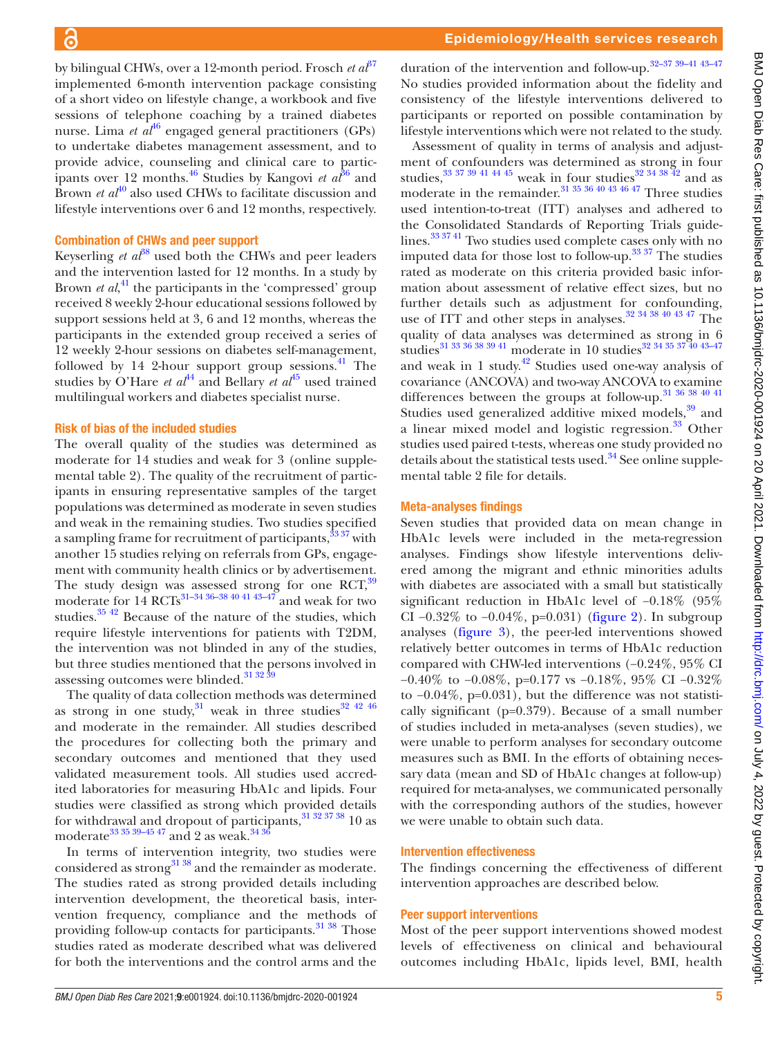by bilingual CHWs, over a 12-month period. Frosch *et*  $a^{\beta 7}$ implemented 6-month intervention package consisting of a short video on lifestyle change, a workbook and five sessions of telephone coaching by a trained diabetes nurse. Lima *et al*<sup>[46](#page-9-10)</sup> engaged general practitioners (GPs) to undertake diabetes management assessment, and to provide advice, counseling and clinical care to partic-ipants over 12 months.<sup>[46](#page-9-10)</sup> Studies by Kangovi *et al*<sup>36</sup> and Brown *et al*<sup>40</sup> also used CHWs to facilitate discussion and lifestyle interventions over 6 and 12 months, respectively.

#### Combination of CHWs and peer support

Keyserling *et al*<sup>38</sup> used both the CHWs and peer leaders and the intervention lasted for 12 months. In a study by Brown *et al*<sup>[41](#page-9-16)</sup>, the participants in the 'compressed' group received 8 weekly 2-hour educational sessions followed by support sessions held at 3, 6 and 12 months, whereas the participants in the extended group received a series of 12 weekly 2-hour sessions on diabetes self-management, followed by 14 2-hour support group sessions. $^{41}$  The studies by O'Hare *et al*<sup>44</sup> and Bellary *et al*<sup>45</sup> used trained multilingual workers and diabetes specialist nurse.

#### Risk of bias of the included studies

The overall quality of the studies was determined as moderate for 14 studies and weak for 3 [\(online supple](https://dx.doi.org/10.1136/bmjdrc-2020-001924)[mental table 2](https://dx.doi.org/10.1136/bmjdrc-2020-001924)). The quality of the recruitment of participants in ensuring representative samples of the target populations was determined as moderate in seven studies and weak in the remaining studies. Two studies specified a sampling frame for recruitment of participants,  $33\frac{37}{10}$  with another 15 studies relying on referrals from GPs, engagement with community health clinics or by advertisement. The study design was assessed strong for one RCT,<sup>39</sup> moderate for  $14$  RCTs<sup>31–34 36–38 40 41 43–47</sup> and weak for two studies[.35 42](#page-9-18) Because of the nature of the studies, which require lifestyle interventions for patients with T2DM, the intervention was not blinded in any of the studies, but three studies mentioned that the persons involved in assessing outcomes were blinded.<sup>[31 32 39](#page-9-8)</sup>

The quality of data collection methods was determined as strong in one study,<sup>31</sup> weak in three studies<sup>[32 42 46](#page-9-23)</sup> and moderate in the remainder. All studies described the procedures for collecting both the primary and secondary outcomes and mentioned that they used validated measurement tools. All studies used accredited laboratories for measuring HbA1c and lipids. Four studies were classified as strong which provided details for withdrawal and dropout of participants,  $31\,32\,37\,38$  10 as moderate $^{33}$   $^{35}$   $^{39-45}$   $^{47}$  and  $\rm 2$  as weak.  $^{34}$   $^{36}$ 

In terms of intervention integrity, two studies were considered as strong<sup>31 38</sup> and the remainder as moderate. The studies rated as strong provided details including intervention development, the theoretical basis, intervention frequency, compliance and the methods of providing follow-up contacts for participants.<sup>31</sup> 38</sup> Those studies rated as moderate described what was delivered for both the interventions and the control arms and the

duration of the intervention and follow-up.[32–37 39–41 43–47](#page-9-23) No studies provided information about the fidelity and consistency of the lifestyle interventions delivered to participants or reported on possible contamination by lifestyle interventions which were not related to the study.

Assessment of quality in terms of analysis and adjustment of confounders was determined as strong in four studies,  $33\frac{37\frac{39\frac{41}{44}}{45}}{8}$  weak in four studies  $32\frac{34\frac{38}{42}}{42}$  and as moderate in the remainder.<sup>31 35 36 40 43 46 47</sup> Three studies used intention-to-treat (ITT) analyses and adhered to the Consolidated Standards of Reporting Trials guidelines.[33 37 41](#page-9-22) Two studies used complete cases only with no imputed data for those lost to follow-up. [33 37](#page-9-22) The studies rated as moderate on this criteria provided basic information about assessment of relative effect sizes, but no further details such as adjustment for confounding, use of ITT and other steps in analyses.<sup>32</sup> <sup>34 38 40 43 47</sup> The quality of data analyses was determined as strong in 6 studies<sup>[31 33 36 38 39 41](#page-9-8)</sup> moderate in 10 studies<sup>[32 34 35 37 40 43–47](#page-9-23)</sup> and weak in 1 study. $42$  Studies used one-way analysis of covariance (ANCOVA) and two-way ANCOVA to examine differences between the groups at follow-up.<sup>31</sup> 36 38 40 41 Studies used generalized additive mixed models, $39$  and a linear mixed model and logistic regression.<sup>33</sup> Other studies used paired t-tests, whereas one study provided no details about the statistical tests used. $34$  See [online supple](https://dx.doi.org/10.1136/bmjdrc-2020-001924)[mental table 2](https://dx.doi.org/10.1136/bmjdrc-2020-001924) file for details.

#### Meta-analyses findings

Seven studies that provided data on mean change in HbA1c levels were included in the meta-regression analyses. Findings show lifestyle interventions delivered among the migrant and ethnic minorities adults with diabetes are associated with a small but statistically significant reduction in HbA1c level of −0.18% (95% CI  $-0.32\%$  to  $-0.04\%$ , p=0.031) ([figure](#page-5-0) 2). In subgroup analyses ([figure](#page-5-1) 3), the peer-led interventions showed relatively better outcomes in terms of HbA1c reduction compared with CHW-led interventions (−0.24%, 95% CI −0.40% to −0.08%, p=0.177 vs −0.18%, 95% CI −0.32% to −0.04%, p=0.031), but the difference was not statistically significant (p=0.379). Because of a small number of studies included in meta-analyses (seven studies), we were unable to perform analyses for secondary outcome measures such as BMI. In the efforts of obtaining necessary data (mean and SD of HbA1c changes at follow-up) required for meta-analyses, we communicated personally with the corresponding authors of the studies, however we were unable to obtain such data.

#### Intervention effectiveness

The findings concerning the effectiveness of different intervention approaches are described below.

#### Peer support interventions

Most of the peer support interventions showed modest levels of effectiveness on clinical and behavioural outcomes including HbA1c, lipids level, BMI, health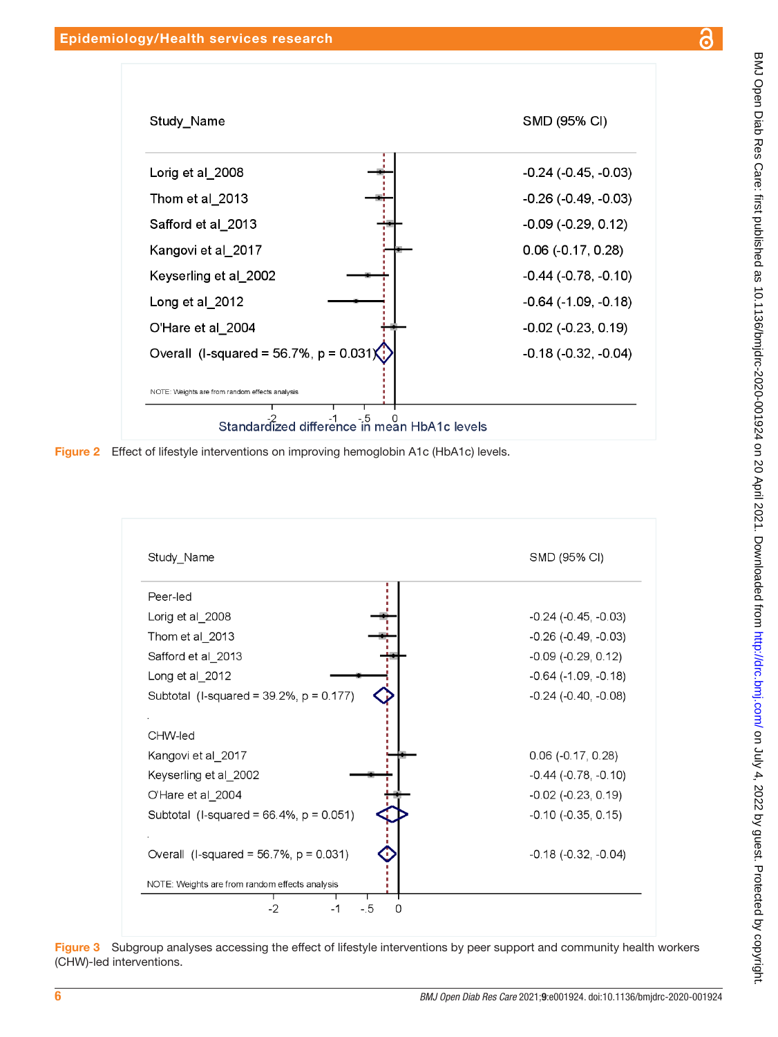

<span id="page-5-0"></span>

<span id="page-5-1"></span>Figure 3 Subgroup analyses accessing the effect of lifestyle interventions by peer support and community health workers (CHW)-led interventions.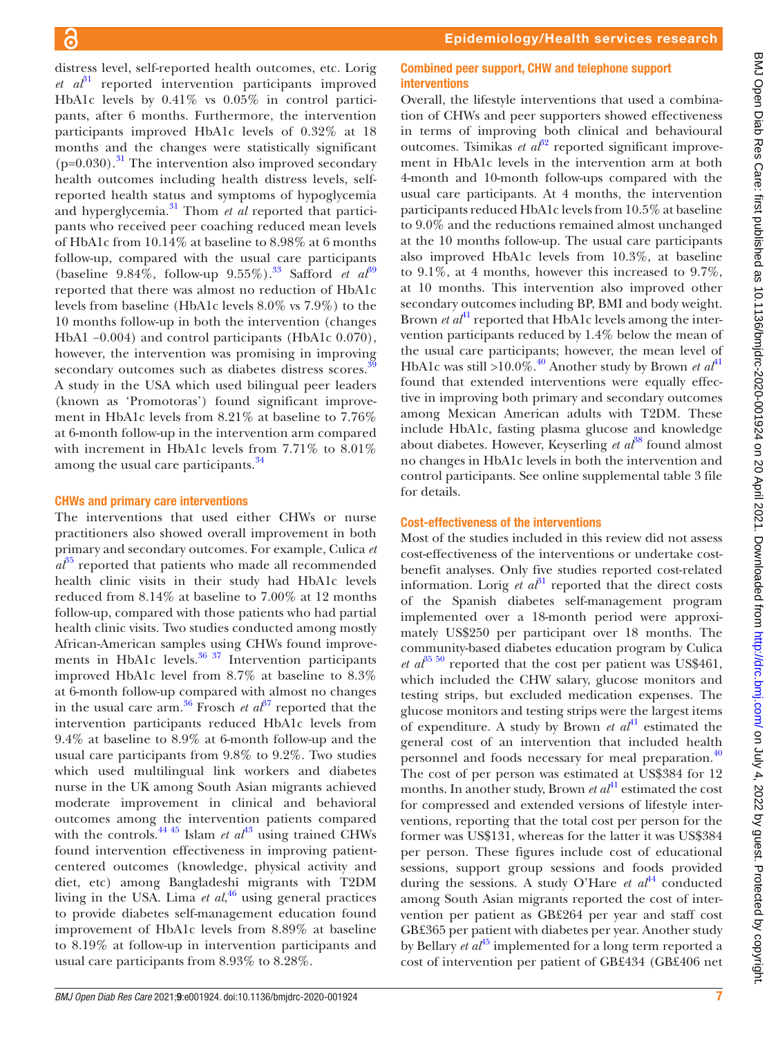distress level, self-reported health outcomes, etc. Lorig  $et \text{ } a\text{ } b\textsuperscript{3}$  reported intervention participants improved HbA1c levels by 0.41% vs 0.05% in control participants, after 6 months. Furthermore, the intervention participants improved HbA1c levels of 0.32% at 18 months and the changes were statistically significant  $(p=0.030)$ .<sup>31</sup> The intervention also improved secondary health outcomes including health distress levels, selfreported health status and symptoms of hypoglycemia and hyperglycemia.<sup>31</sup> Thom *et al* reported that participants who received peer coaching reduced mean levels of HbA1c from 10.14% at baseline to 8.98% at 6 months follow-up, compared with the usual care participants (baseline 9.84%, follow-up 9.55%).<sup>33</sup> Safford *et al*<sup>[39](#page-9-26)</sup> reported that there was almost no reduction of HbA1c levels from baseline (HbA1c levels 8.0% vs 7.9%) to the 10 months follow-up in both the intervention (changes HbA1 −0.004) and control participants (HbA1c 0.070), however, the intervention was promising in improving secondary outcomes such as diabetes distress scores.<sup>[39](#page-9-26)</sup> A study in the USA which used bilingual peer leaders (known as 'Promotoras') found significant improvement in HbA1c levels from 8.21% at baseline to 7.76% at 6-month follow-up in the intervention arm compared with increment in HbA1c levels from 7.71% to 8.01% among the usual care participants.<sup>[34](#page-9-19)</sup>

#### CHWs and primary care interventions

The interventions that used either CHWs or nurse practitioners also showed overall improvement in both primary and secondary outcomes. For example, Culica *et*   $a^{35}$  reported that patients who made all recommended health clinic visits in their study had HbA1c levels reduced from 8.14% at baseline to 7.00% at 12 months follow-up, compared with those patients who had partial health clinic visits. Two studies conducted among mostly African-American samples using CHWs found improve-ments in HbA1c levels.<sup>[36 37](#page-9-12)</sup> Intervention participants improved HbA1c level from 8.7% at baseline to 8.3% at 6-month follow-up compared with almost no changes in the usual care arm.<sup>[36](#page-9-12)</sup> Frosch *et al*<sup>37</sup> reported that the intervention participants reduced HbA1c levels from 9.4% at baseline to 8.9% at 6-month follow-up and the usual care participants from 9.8% to 9.2%. Two studies which used multilingual link workers and diabetes nurse in the UK among South Asian migrants achieved moderate improvement in clinical and behavioral outcomes among the intervention patients compared with the controls.<sup>[44 45](#page-9-9)</sup> Islam *et*  $a t^{43}$  using trained CHWs found intervention effectiveness in improving patientcentered outcomes (knowledge, physical activity and diet, etc) among Bangladeshi migrants with T2DM living in the USA. Lima *et al*, [46](#page-9-10) using general practices to provide diabetes self-management education found improvement of HbA1c levels from 8.89% at baseline to 8.19% at follow-up in intervention participants and usual care participants from 8.93% to 8.28%.

#### Combined peer support, CHW and telephone support interventions

Overall, the lifestyle interventions that used a combination of CHWs and peer supporters showed effectiveness in terms of improving both clinical and behavioural outcomes. Tsimikas *et al*<sup>[32](#page-9-23)</sup> reported significant improvement in HbA1c levels in the intervention arm at both 4-month and 10-month follow-ups compared with the usual care participants. At 4 months, the intervention participants reduced HbA1c levels from 10.5% at baseline to 9.0% and the reductions remained almost unchanged at the 10 months follow-up. The usual care participants also improved HbA1c levels from 10.3%, at baseline to 9.1%, at 4 months, however this increased to 9.7%, at 10 months. This intervention also improved other secondary outcomes including BP, BMI and body weight. Brown *et al*<sup>41</sup> reported that HbA1c levels among the intervention participants reduced by 1.4% below the mean of the usual care participants; however, the mean level of HbA1c was still >10.0%.<sup>40</sup> Another study by Brown *et al*<sup>[41](#page-9-16)</sup> found that extended interventions were equally effective in improving both primary and secondary outcomes among Mexican American adults with T2DM. These include HbA1c, fasting plasma glucose and knowledge about diabetes. However, Keyserling *et al*<sup>[38](#page-9-25)</sup> found almost no changes in HbA1c levels in both the intervention and control participants. See [online supplemental table 3](https://dx.doi.org/10.1136/bmjdrc-2020-001924) file for details.

#### Cost-effectiveness of the interventions

Most of the studies included in this review did not assess cost-effectiveness of the interventions or undertake costbenefit analyses. Only five studies reported cost-related information. Lorig *et al*<sup>[31](#page-9-8)</sup> reported that the direct costs of the Spanish diabetes self-management program implemented over a 18-month period were approximately US\$250 per participant over 18 months. The community-based diabetes education program by Culica *et al*<sup>35 50</sup> reported that the cost per patient was US\$461, which included the CHW salary, glucose monitors and testing strips, but excluded medication expenses. The glucose monitors and testing strips were the largest items of expenditure. A study by Brown *et al*<sup>41</sup> estimated the general cost of an intervention that included health personnel and foods necessary for meal preparation.<sup>40</sup> The cost of per person was estimated at US\$384 for 12 months. In another study, Brown *et al*<sup>[41](#page-9-16)</sup> estimated the cost for compressed and extended versions of lifestyle interventions, reporting that the total cost per person for the former was US\$131, whereas for the latter it was US\$384 per person. These figures include cost of educational sessions, support group sessions and foods provided during the sessions. A study O'Hare *et al*<sup>[44](#page-9-9)</sup> conducted among South Asian migrants reported the cost of intervention per patient as GB£264 per year and staff cost GB£365 per patient with diabetes per year. Another study by Bellary *et*  $a^{45}$  $a^{45}$  $a^{45}$  implemented for a long term reported a cost of intervention per patient of GB£434 (GB£406 net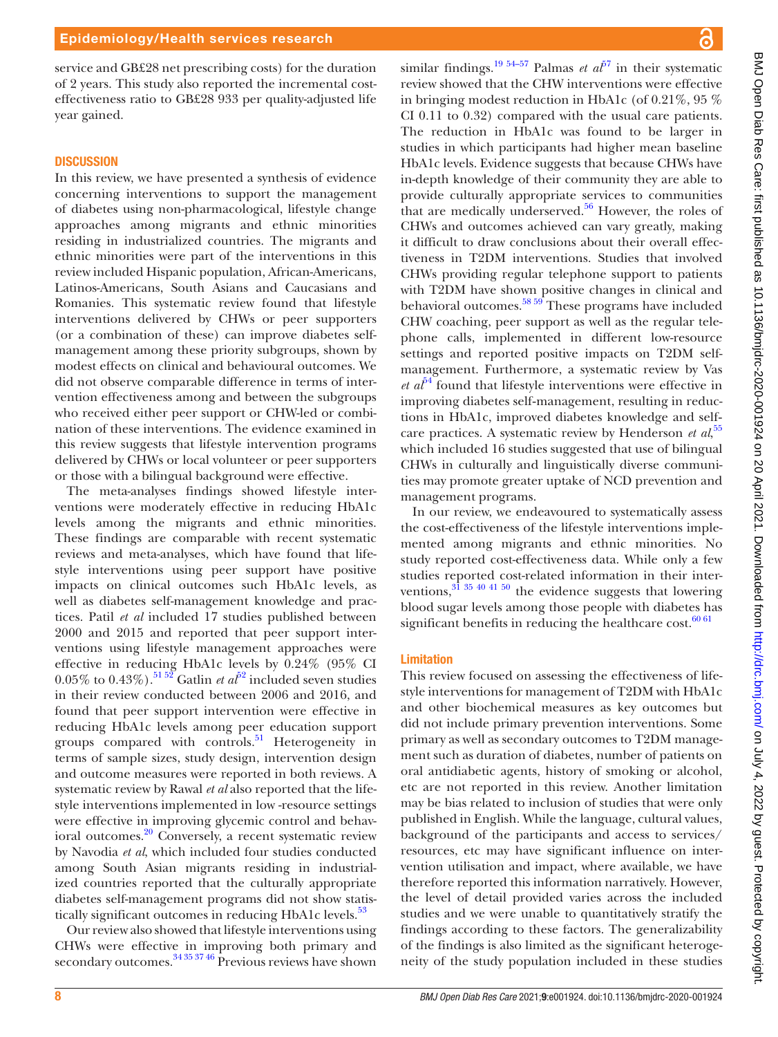service and GB£28 net prescribing costs) for the duration of 2 years. This study also reported the incremental costeffectiveness ratio to GB£28 933 per quality-adjusted life year gained.

#### **DISCUSSION**

In this review, we have presented a synthesis of evidence concerning interventions to support the management of diabetes using non-pharmacological, lifestyle change approaches among migrants and ethnic minorities residing in industrialized countries. The migrants and ethnic minorities were part of the interventions in this review included Hispanic population, African-Americans, Latinos-Americans, South Asians and Caucasians and Romanies. This systematic review found that lifestyle interventions delivered by CHWs or peer supporters (or a combination of these) can improve diabetes selfmanagement among these priority subgroups, shown by modest effects on clinical and behavioural outcomes. We did not observe comparable difference in terms of intervention effectiveness among and between the subgroups who received either peer support or CHW-led or combination of these interventions. The evidence examined in this review suggests that lifestyle intervention programs delivered by CHWs or local volunteer or peer supporters or those with a bilingual background were effective.

The meta-analyses findings showed lifestyle interventions were moderately effective in reducing HbA1c levels among the migrants and ethnic minorities. These findings are comparable with recent systematic reviews and meta-analyses, which have found that lifestyle interventions using peer support have positive impacts on clinical outcomes such HbA1c levels, as well as diabetes self-management knowledge and practices. Patil *et al* included 17 studies published between 2000 and 2015 and reported that peer support interventions using lifestyle management approaches were effective in reducing HbA1c levels by 0.24% (95% CI  $0.05\%$  to  $0.43\%$ ).<sup>51 [52](#page-9-28)</sup> Gatlin *et al*<sup>52</sup> included seven studies in their review conducted between 2006 and 2016, and found that peer support intervention were effective in reducing HbA1c levels among peer education support groups compared with controls.<sup>51</sup> Heterogeneity in terms of sample sizes, study design, intervention design and outcome measures were reported in both reviews. A systematic review by Rawal *et al* also reported that the lifestyle interventions implemented in low -resource settings were effective in improving glycemic control and behavioral outcomes[.20](#page-9-29) Conversely, a recent systematic review by Navodia *et al*, which included four studies conducted among South Asian migrants residing in industrialized countries reported that the culturally appropriate diabetes self-management programs did not show statistically significant outcomes in reducing HbA1c levels.<sup>53</sup>

Our review also showed that lifestyle interventions using CHWs were effective in improving both primary and secondary outcomes.<sup>[34 35 37 46](#page-9-19)</sup> Previous reviews have shown

similar findings.<sup>19 54–57</sup> Palmas *et al*<sup> $57$ </sup> in their systematic review showed that the CHW interventions were effective in bringing modest reduction in HbA1c (of 0.21%, 95 % CI 0.11 to 0.32) compared with the usual care patients. The reduction in HbA1c was found to be larger in studies in which participants had higher mean baseline HbA1c levels. Evidence suggests that because CHWs have in-depth knowledge of their community they are able to provide culturally appropriate services to communities that are medically underserved.<sup>56</sup> However, the roles of CHWs and outcomes achieved can vary greatly, making it difficult to draw conclusions about their overall effectiveness in T2DM interventions. Studies that involved CHWs providing regular telephone support to patients with T2DM have shown positive changes in clinical and behavioral outcomes. $58\frac{59}{1}$  These programs have included CHW coaching, peer support as well as the regular telephone calls, implemented in different low-resource settings and reported positive impacts on T2DM selfmanagement. Furthermore, a systematic review by Vas  $et\ a\ell^{64}$  found that lifestyle interventions were effective in improving diabetes self-management, resulting in reductions in HbA1c, improved diabetes knowledge and self‐ care practices. A systematic review by Henderson *et al*,<sup>[55](#page-9-35)</sup> which included 16 studies suggested that use of bilingual CHWs in culturally and linguistically diverse communities may promote greater uptake of NCD prevention and management programs.

In our review, we endeavoured to systematically assess the cost-effectiveness of the lifestyle interventions implemented among migrants and ethnic minorities. No study reported cost-effectiveness data. While only a few studies reported cost-related information in their interventions, $3^{3}$   $35$   $40$   $41$   $50$  the evidence suggests that lowering blood sugar levels among those people with diabetes has significant benefits in reducing the healthcare cost. $60\,61$ 

#### Limitation

This review focused on assessing the effectiveness of lifestyle interventions for management of T2DM with HbA1c and other biochemical measures as key outcomes but did not include primary prevention interventions. Some primary as well as secondary outcomes to T2DM management such as duration of diabetes, number of patients on oral antidiabetic agents, history of smoking or alcohol, etc are not reported in this review. Another limitation may be bias related to inclusion of studies that were only published in English. While the language, cultural values, background of the participants and access to services/ resources, etc may have significant influence on intervention utilisation and impact, where available, we have therefore reported this information narratively. However, the level of detail provided varies across the included studies and we were unable to quantitatively stratify the findings according to these factors. The generalizability of the findings is also limited as the significant heterogeneity of the study population included in these studies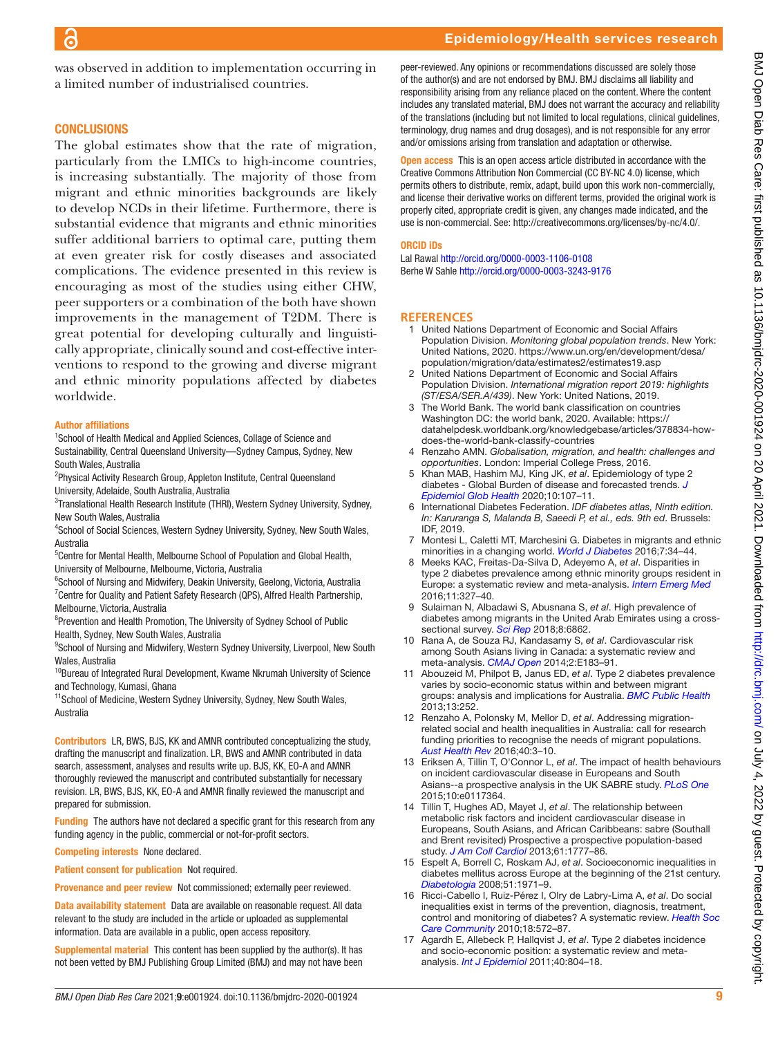was observed in addition to implementation occurring in a limited number of industrialised countries.

# **CONCLUSIONS**

The global estimates show that the rate of migration, particularly from the LMICs to high-income countries, is increasing substantially. The majority of those from migrant and ethnic minorities backgrounds are likely to develop NCDs in their lifetime. Furthermore, there is substantial evidence that migrants and ethnic minorities suffer additional barriers to optimal care, putting them at even greater risk for costly diseases and associated complications. The evidence presented in this review is encouraging as most of the studies using either CHW, peer supporters or a combination of the both have shown improvements in the management of T2DM. There is great potential for developing culturally and linguistically appropriate, clinically sound and cost-effective interventions to respond to the growing and diverse migrant and ethnic minority populations affected by diabetes worldwide.

#### Author affiliations

<sup>1</sup>School of Health Medical and Applied Sciences, Collage of Science and Sustainability, Central Queensland University—Sydney Campus, Sydney, New South Wales, Australia

- <sup>2</sup>Physical Activity Research Group, Appleton Institute, Central Queensland University, Adelaide, South Australia, Australia
- <sup>3</sup>Translational Health Research Institute (THRI), Western Sydney University, Sydney, New South Wales, Australia
- <sup>4</sup>School of Social Sciences, Western Sydney University, Sydney, New South Wales, Australia
- <sup>5</sup>Centre for Mental Health, Melbourne School of Population and Global Health, University of Melbourne, Melbourne, Victoria, Australia
- <sup>6</sup>School of Nursing and Midwifery, Deakin University, Geelong, Victoria, Australia <sup>7</sup> Centre for Quality and Patient Safety Research (QPS), Alfred Health Partnership, Melbourne, Victoria, Australia
- <sup>8</sup>Prevention and Health Promotion, The University of Sydney School of Public Health, Sydney, New South Wales, Australia
- <sup>9</sup>School of Nursing and Midwifery, Western Sydney University, Liverpool, New South Wales, Australia
- <sup>10</sup>Bureau of Integrated Rural Development, Kwame Nkrumah University of Science and Technology, Kumasi, Ghana
- <sup>11</sup>School of Medicine, Western Sydney University, Sydney, New South Wales, Australia
- Contributors LR, BWS, BJS, KK and AMNR contributed conceptualizing the study, drafting the manuscript and finalization. LR, BWS and AMNR contributed in data search, assessment, analyses and results write up. BJS, KK, EO-A and AMNR thoroughly reviewed the manuscript and contributed substantially for necessary revision. LR, BWS, BJS, KK, EO-A and AMNR finally reviewed the manuscript and prepared for submission.
- Funding The authors have not declared a specific grant for this research from any funding agency in the public, commercial or not-for-profit sectors.
- Competing interests None declared.
- Patient consent for publication Not required.
- Provenance and peer review Not commissioned; externally peer reviewed.
- Data availability statement Data are available on reasonable request. All data relevant to the study are included in the article or uploaded as supplemental information. Data are available in a public, open access repository.
- Supplemental material This content has been supplied by the author(s). It has not been vetted by BMJ Publishing Group Limited (BMJ) and may not have been

peer-reviewed. Any opinions or recommendations discussed are solely those of the author(s) and are not endorsed by BMJ. BMJ disclaims all liability and responsibility arising from any reliance placed on the content. Where the content includes any translated material, BMJ does not warrant the accuracy and reliability of the translations (including but not limited to local regulations, clinical guidelines, terminology, drug names and drug dosages), and is not responsible for any error and/or omissions arising from translation and adaptation or otherwise.

Open access This is an open access article distributed in accordance with the Creative Commons Attribution Non Commercial (CC BY-NC 4.0) license, which permits others to distribute, remix, adapt, build upon this work non-commercially, and license their derivative works on different terms, provided the original work is properly cited, appropriate credit is given, any changes made indicated, and the use is non-commercial. See:<http://creativecommons.org/licenses/by-nc/4.0/>.

#### ORCID iDs

Lal Rawal <http://orcid.org/0000-0003-1106-0108> Berhe W Sahle <http://orcid.org/0000-0003-3243-9176>

## **REFERENCES**

- <span id="page-8-0"></span>1 United Nations Department of Economic and Social Affairs Population Division. *Monitoring global population trends*. New York: United Nations, 2020. [https://www.un.org/en/development/desa/](https://www.un.org/en/development/desa/population/migration/data/estimates2/estimates19.asp) [population/migration/data/estimates2/estimates19.asp](https://www.un.org/en/development/desa/population/migration/data/estimates2/estimates19.asp)
- <span id="page-8-1"></span>2 United Nations Department of Economic and Social Affairs Population Division. *International migration report 2019: highlights (ST/ESA/SER.A/439)*. New York: United Nations, 2019.
- <span id="page-8-2"></span>3 The World Bank. The world bank classification on countries Washington DC: the world bank, 2020. Available: [https://](https://datahelpdesk.worldbank.org/knowledgebase/articles/378834-how-does-the-world-bank-classify-countries) [datahelpdesk.worldbank.org/knowledgebase/articles/378834-how](https://datahelpdesk.worldbank.org/knowledgebase/articles/378834-how-does-the-world-bank-classify-countries)[does-the-world-bank-classify-countries](https://datahelpdesk.worldbank.org/knowledgebase/articles/378834-how-does-the-world-bank-classify-countries)
- <span id="page-8-3"></span>4 Renzaho AMN. *Globalisation, migration, and health: challenges and opportunities*. London: Imperial College Press, 2016.
- <span id="page-8-4"></span>5 Khan MAB, Hashim MJ, King JK, *et al*. Epidemiology of type 2 diabetes - Global Burden of disease and forecasted trends. *[J](http://dx.doi.org/10.2991/jegh.k.191028.001)  [Epidemiol Glob Health](http://dx.doi.org/10.2991/jegh.k.191028.001)* 2020;10:107–11.
- 6 International Diabetes Federation. *IDF diabetes atlas, Ninth edition. In: Karuranga S, Malanda B, Saeedi P, et al., eds. 9th ed*. Brussels: IDF, 2019.
- 7 Montesi L, Caletti MT, Marchesini G. Diabetes in migrants and ethnic minorities in a changing world. *[World J Diabetes](http://dx.doi.org/10.4239/wjd.v7.i3.34)* 2016;7:34–44.
- <span id="page-8-5"></span>8 Meeks KAC, Freitas-Da-Silva D, Adeyemo A, *et al*. Disparities in type 2 diabetes prevalence among ethnic minority groups resident in Europe: a systematic review and meta-analysis. *[Intern Emerg Med](http://dx.doi.org/10.1007/s11739-015-1302-9)* 2016;11:327–40.
- <span id="page-8-6"></span>9 Sulaiman N, Albadawi S, Abusnana S, *et al*. High prevalence of diabetes among migrants in the United Arab Emirates using a crosssectional survey. *[Sci Rep](http://dx.doi.org/10.1038/s41598-018-24312-3)* 2018;8:6862.
- 10 Rana A, de Souza RJ, Kandasamy S, *et al*. Cardiovascular risk among South Asians living in Canada: a systematic review and meta-analysis. *[CMAJ Open](http://dx.doi.org/10.9778/cmajo.20130064)* 2014;2:E183–91.
- 11 Abouzeid M, Philpot B, Janus ED, *et al*. Type 2 diabetes prevalence varies by socio-economic status within and between migrant groups: analysis and implications for Australia. *[BMC Public Health](http://dx.doi.org/10.1186/1471-2458-13-252)* 2013;13:252.
- <span id="page-8-7"></span>12 Renzaho A, Polonsky M, Mellor D, *et al*. Addressing migrationrelated social and health inequalities in Australia: call for research funding priorities to recognise the needs of migrant populations. *[Aust Health Rev](http://dx.doi.org/10.1071/AH14132)* 2016;40:3–10.
- <span id="page-8-8"></span>13 Eriksen A, Tillin T, O'Connor L, *et al*. The impact of health behaviours on incident cardiovascular disease in Europeans and South Asians--a prospective analysis in the UK SABRE study. *[PLoS One](http://dx.doi.org/10.1371/journal.pone.0117364)* 2015;10:e0117364.
- <span id="page-8-9"></span>14 Tillin T, Hughes AD, Mayet J, *et al*. The relationship between metabolic risk factors and incident cardiovascular disease in Europeans, South Asians, and African Caribbeans: sabre (Southall and Brent revisited) Prospective a prospective population-based study. *[J Am Coll Cardiol](http://dx.doi.org/10.1016/j.jacc.2012.12.046)* 2013;61:1777–86.
- <span id="page-8-10"></span>15 Espelt A, Borrell C, Roskam AJ, *et al*. Socioeconomic inequalities in diabetes mellitus across Europe at the beginning of the 21st century. *[Diabetologia](http://dx.doi.org/10.1007/s00125-008-1146-1)* 2008;51:1971–9.
- <span id="page-8-11"></span>16 Ricci-Cabello I, Ruiz-Pérez I, Olry de Labry-Lima A, *et al*. Do social inequalities exist in terms of the prevention, diagnosis, treatment, control and monitoring of diabetes? A systematic review. *[Health Soc](http://dx.doi.org/10.1111/j.1365-2524.2010.00960.x)  [Care Community](http://dx.doi.org/10.1111/j.1365-2524.2010.00960.x)* 2010;18:572–87.
- 17 Agardh E, Allebeck P, Hallqvist J, *et al*. Type 2 diabetes incidence and socio-economic position: a systematic review and metaanalysis. *[Int J Epidemiol](http://dx.doi.org/10.1093/ije/dyr029)* 2011;40:804–18.